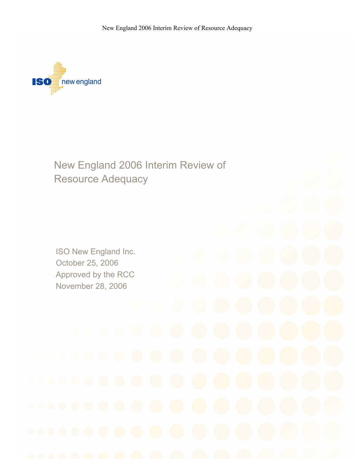New England 2006 Interim Review of Resource Adequacy



New England 2006 Interim Review of Resource Adequacy

ISO New England Inc. October 25, 2006 Approved by the RCC November 28, 2006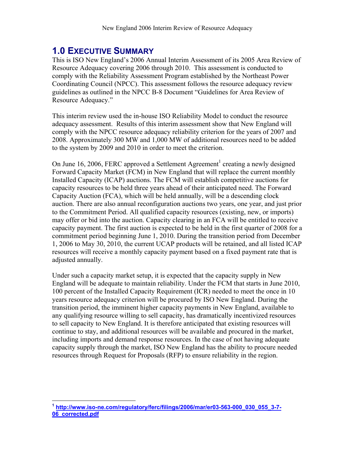## **1.0 EXECUTIVE SUMMARY**

This is ISO New England's 2006 Annual Interim Assessment of its 2005 Area Review of Resource Adequacy covering 2006 through 2010. This assessment is conducted to comply with the Reliability Assessment Program established by the Northeast Power Coordinating Council (NPCC). This assessment follows the resource adequacy review guidelines as outlined in the NPCC B-8 Document "Guidelines for Area Review of Resource Adequacy."

This interim review used the in-house ISO Reliability Model to conduct the resource adequacy assessment. Results of this interim assessment show that New England will comply with the NPCC resource adequacy reliability criterion for the years of 2007 and 2008. Approximately 300 MW and 1,000 MW of additional resources need to be added to the system by 2009 and 2010 in order to meet the criterion.

On June 16, 2006, FERC approved a Settlement Agreement<sup>1</sup> creating a newly designed Forward Capacity Market (FCM) in New England that will replace the current monthly Installed Capacity (ICAP) auctions. The FCM will establish competitive auctions for capacity resources to be held three years ahead of their anticipated need. The Forward Capacity Auction (FCA), which will be held annually, will be a descending clock auction. There are also annual reconfiguration auctions two years, one year, and just prior to the Commitment Period. All qualified capacity resources (existing, new, or imports) may offer or bid into the auction. Capacity clearing in an FCA will be entitled to receive capacity payment. The first auction is expected to be held in the first quarter of 2008 for a commitment period beginning June 1, 2010. During the transition period from December 1, 2006 to May 30, 2010, the current UCAP products will be retained, and all listed ICAP resources will receive a monthly capacity payment based on a fixed payment rate that is adjusted annually.

Under such a capacity market setup, it is expected that the capacity supply in New England will be adequate to maintain reliability. Under the FCM that starts in June 2010, 100 percent of the Installed Capacity Requirement (ICR) needed to meet the once in 10 years resource adequacy criterion will be procured by ISO New England. During the transition period, the imminent higher capacity payments in New England, available to any qualifying resource willing to sell capacity, has dramatically incentivized resources to sell capacity to New England. It is therefore anticipated that existing resources will continue to stay, and additional resources will be available and procured in the market, including imports and demand response resources. In the case of not having adequate capacity supply through the market, ISO New England has the ability to procure needed resources through Request for Proposals (RFP) to ensure reliability in the region.

1

**<sup>1</sup> http://www.iso-ne.com/regulatory/ferc/filings/2006/mar/er03-563-000\_030\_055\_3-7- 06\_corrected.pdf**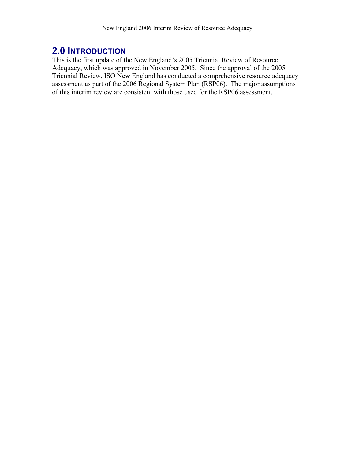## **2.0 INTRODUCTION**

This is the first update of the New England's 2005 Triennial Review of Resource Adequacy, which was approved in November 2005. Since the approval of the 2005 Triennial Review, ISO New England has conducted a comprehensive resource adequacy assessment as part of the 2006 Regional System Plan (RSP06). The major assumptions of this interim review are consistent with those used for the RSP06 assessment.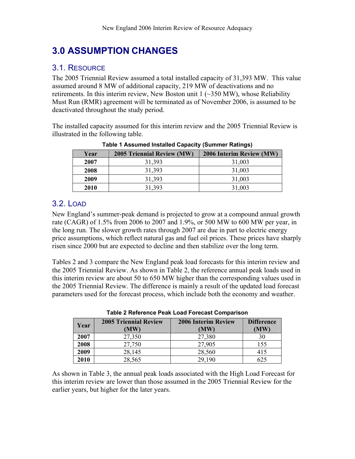# **3.0 ASSUMPTION CHANGES**

### 3.1. RESOURCE

The 2005 Triennial Review assumed a total installed capacity of 31,393 MW. This value assumed around 8 MW of additional capacity, 219 MW of deactivations and no retirements. In this interim review, New Boston unit  $1$  ( $\sim$ 350 MW), whose Reliability Must Run (RMR) agreement will be terminated as of November 2006, is assumed to be deactivated throughout the study period.

The installed capacity assumed for this interim review and the 2005 Triennial Review is illustrated in the following table.

| Year | <b>2005 Triennial Review (MW)</b> | 2006 Interim Review (MW) |  |
|------|-----------------------------------|--------------------------|--|
| 2007 | 31,393                            | 31,003                   |  |
| 2008 | 31,393                            | 31,003                   |  |
| 2009 | 31,393                            | 31,003                   |  |
| 2010 | 31,393                            | 31,003                   |  |

**Table 1 Assumed Installed Capacity (Summer Ratings)** 

### 3.2. LOAD

New England's summer-peak demand is projected to grow at a compound annual growth rate (CAGR) of 1.5% from 2006 to 2007 and 1.9%, or 500 MW to 600 MW per year, in the long run. The slower growth rates through 2007 are due in part to electric energy price assumptions, which reflect natural gas and fuel oil prices. These prices have sharply risen since 2000 but are expected to decline and then stabilize over the long term.

Tables 2 and 3 compare the New England peak load forecasts for this interim review and the 2005 Triennial Review. As shown in Table 2, the reference annual peak loads used in this interim review are about 50 to 650 MW higher than the corresponding values used in the 2005 Triennial Review. The difference is mainly a result of the updated load forecast parameters used for the forecast process, which include both the economy and weather.

| Year | <b>2005 Triennial Review</b><br>(MW) | <b>2006 Interim Review</b><br>MW) | <b>Difference</b><br>(MW) |
|------|--------------------------------------|-----------------------------------|---------------------------|
| 2007 | 27,350                               | 27,380                            | 30                        |
| 2008 | 27,750                               | 27,905                            | 155                       |
| 2009 | 28,145                               | 28,560                            | 415                       |
| 2010 | 28,565                               | 29,190                            | 625                       |

**Table 2 Reference Peak Load Forecast Comparison** 

As shown in Table 3, the annual peak loads associated with the High Load Forecast for this interim review are lower than those assumed in the 2005 Triennial Review for the earlier years, but higher for the later years.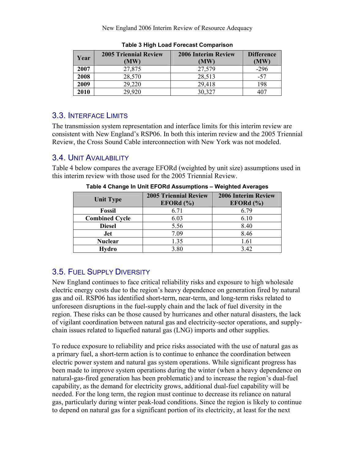New England 2006 Interim Review of Resource Adequacy

| Year | <b>2005 Triennial Review</b><br>(MW) | <b>2006 Interim Review</b><br>(MW) | <b>Difference</b><br>(MW) |
|------|--------------------------------------|------------------------------------|---------------------------|
| 2007 | 27,875                               | 27,579                             | $-296$                    |
| 2008 | 28,570                               | 28,513                             | $-57$                     |
| 2009 | 29,220                               | 29,418                             | 198                       |
| 2010 | 29,920                               | 30,327                             | 407                       |

**Table 3 High Load Forecast Comparison** 

### 3.3. INTERFACE LIMITS

The transmission system representation and interface limits for this interim review are consistent with New England's RSP06. In both this interim review and the 2005 Triennial Review, the Cross Sound Cable interconnection with New York was not modeled.

## 3.4. UNIT AVAILABILITY

Table 4 below compares the average EFORd (weighted by unit size) assumptions used in this interim review with those used for the 2005 Triennial Review.

| <b>Unit Type</b>      | <b>2005 Triennial Review</b><br>EFORd $(\% )$ | <b>2006 Interim Review</b><br>EFORd(%) |
|-----------------------|-----------------------------------------------|----------------------------------------|
| <b>Fossil</b>         | 6.71                                          | 6.79                                   |
| <b>Combined Cycle</b> | 6.03                                          | 6.10                                   |
| <b>Diesel</b>         | 5.56                                          | 8.40                                   |
| Jet                   | 7.09                                          | 8.46                                   |
| <b>Nuclear</b>        | 1.35                                          | 1.61                                   |
| Hydro                 | 3.80                                          | 3.42                                   |

**Table 4 Change In Unit EFORd Assumptions – Weighted Averages** 

## 3.5. FUEL SUPPLY DIVERSITY

New England continues to face critical reliability risks and exposure to high wholesale electric energy costs due to the region's heavy dependence on generation fired by natural gas and oil. RSP06 has identified short-term, near-term, and long-term risks related to unforeseen disruptions in the fuel-supply chain and the lack of fuel diversity in the region. These risks can be those caused by hurricanes and other natural disasters, the lack of vigilant coordination between natural gas and electricity-sector operations, and supplychain issues related to liquefied natural gas (LNG) imports and other supplies.

To reduce exposure to reliability and price risks associated with the use of natural gas as a primary fuel, a short-term action is to continue to enhance the coordination between electric power system and natural gas system operations. While significant progress has been made to improve system operations during the winter (when a heavy dependence on natural-gas-fired generation has been problematic) and to increase the region's dual-fuel capability, as the demand for electricity grows, additional dual-fuel capability will be needed. For the long term, the region must continue to decrease its reliance on natural gas, particularly during winter peak-load conditions. Since the region is likely to continue to depend on natural gas for a significant portion of its electricity, at least for the next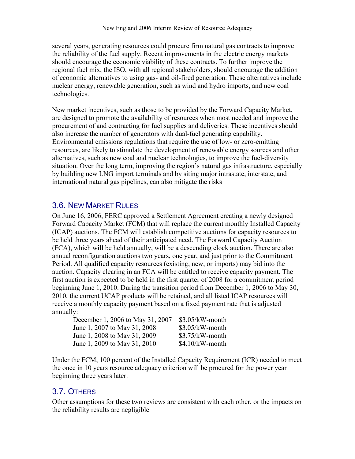several years, generating resources could procure firm natural gas contracts to improve the reliability of the fuel supply. Recent improvements in the electric energy markets should encourage the economic viability of these contracts. To further improve the regional fuel mix, the ISO, with all regional stakeholders, should encourage the addition of economic alternatives to using gas- and oil-fired generation. These alternatives include nuclear energy, renewable generation, such as wind and hydro imports, and new coal technologies.

New market incentives, such as those to be provided by the Forward Capacity Market, are designed to promote the availability of resources when most needed and improve the procurement of and contracting for fuel supplies and deliveries. These incentives should also increase the number of generators with dual-fuel generating capability. Environmental emissions regulations that require the use of low- or zero-emitting resources, are likely to stimulate the development of renewable energy sources and other alternatives, such as new coal and nuclear technologies, to improve the fuel-diversity situation. Over the long term, improving the region's natural gas infrastructure, especially by building new LNG import terminals and by siting major intrastate, interstate, and international natural gas pipelines, can also mitigate the risks

#### 3.6. NEW MARKET RULES

On June 16, 2006, FERC approved a Settlement Agreement creating a newly designed Forward Capacity Market (FCM) that will replace the current monthly Installed Capacity (ICAP) auctions. The FCM will establish competitive auctions for capacity resources to be held three years ahead of their anticipated need. The Forward Capacity Auction (FCA), which will be held annually, will be a descending clock auction. There are also annual reconfiguration auctions two years, one year, and just prior to the Commitment Period. All qualified capacity resources (existing, new, or imports) may bid into the auction. Capacity clearing in an FCA will be entitled to receive capacity payment. The first auction is expected to be held in the first quarter of 2008 for a commitment period beginning June 1, 2010. During the transition period from December 1, 2006 to May 30, 2010, the current UCAP products will be retained, and all listed ICAP resources will receive a monthly capacity payment based on a fixed payment rate that is adjusted annually:

| December 1, 2006 to May 31, 2007 | $$3.05/kW$ -month |
|----------------------------------|-------------------|
| June 1, 2007 to May 31, 2008     | $$3.05/kW$ -month |
| June 1, 2008 to May 31, 2009     | $$3.75/kW$ -month |
| June 1, 2009 to May 31, 2010     | $$4.10/kW$ -month |

Under the FCM, 100 percent of the Installed Capacity Requirement (ICR) needed to meet the once in 10 years resource adequacy criterion will be procured for the power year beginning three years later.

### 3.7. OTHERS

Other assumptions for these two reviews are consistent with each other, or the impacts on the reliability results are negligible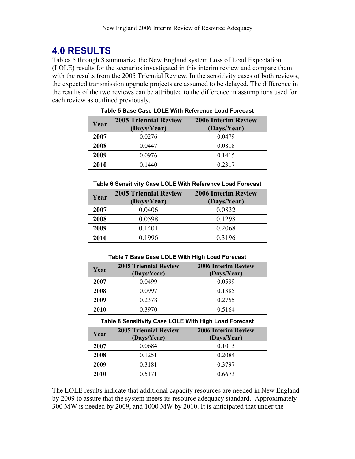# **4.0 RESULTS**

Tables 5 through 8 summarize the New England system Loss of Load Expectation (LOLE) results for the scenarios investigated in this interim review and compare them with the results from the 2005 Triennial Review. In the sensitivity cases of both reviews, the expected transmission upgrade projects are assumed to be delayed. The difference in the results of the two reviews can be attributed to the difference in assumptions used for each review as outlined previously.

| Year | <b>2005 Triennial Review</b><br>(Days/Year) | <b>2006 Interim Review</b><br>(Days/Year) |
|------|---------------------------------------------|-------------------------------------------|
| 2007 | 0.0276                                      | 0.0479                                    |
| 2008 | 0.0447                                      | 0.0818                                    |
| 2009 | 0.0976                                      | 0.1415                                    |
| 2010 | 0 1440                                      | 0 2 3 1 7                                 |

#### **Table 5 Base Case LOLE With Reference Load Forecast**

#### **Table 6 Sensitivity Case LOLE With Reference Load Forecast**

| Year | <b>2005 Triennial Review</b><br>(Days/Year) | <b>2006 Interim Review</b><br>(Days/Year) |
|------|---------------------------------------------|-------------------------------------------|
| 2007 | 0.0406                                      | 0.0832                                    |
| 2008 | 0.0598                                      | 0.1298                                    |
| 2009 | 0.1401                                      | 0.2068                                    |
| 2010 | 0.1996                                      | 0.3196                                    |

**Table 7 Base Case LOLE With High Load Forecast** 

| Year | <b>2005 Triennial Review</b><br>(Days/Year) | <b>2006 Interim Review</b><br>(Days/Year) |
|------|---------------------------------------------|-------------------------------------------|
| 2007 | 0.0499                                      | 0.0599                                    |
| 2008 | 0.0997                                      | 0.1385                                    |
| 2009 | 0.2378                                      | 0.2755                                    |
| 2010 | 0.3970                                      | 0.5164                                    |

#### **Table 8 Sensitivity Case LOLE With High Load Forecast**

| Year | <b>2005 Triennial Review</b><br>(Days/Year) | <b>2006 Interim Review</b><br>(Days/Year) |
|------|---------------------------------------------|-------------------------------------------|
| 2007 | 0.0684                                      | 0.1013                                    |
| 2008 | 0.1251                                      | 0.2084                                    |
| 2009 | 0.3181                                      | 0.3797                                    |
| 2010 | 0.5171                                      | 0.6673                                    |

The LOLE results indicate that additional capacity resources are needed in New England by 2009 to assure that the system meets its resource adequacy standard. Approximately 300 MW is needed by 2009, and 1000 MW by 2010. It is anticipated that under the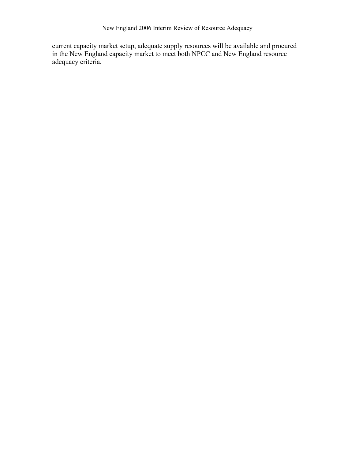New England 2006 Interim Review of Resource Adequacy

current capacity market setup, adequate supply resources will be available and procured in the New England capacity market to meet both NPCC and New England resource adequacy criteria.